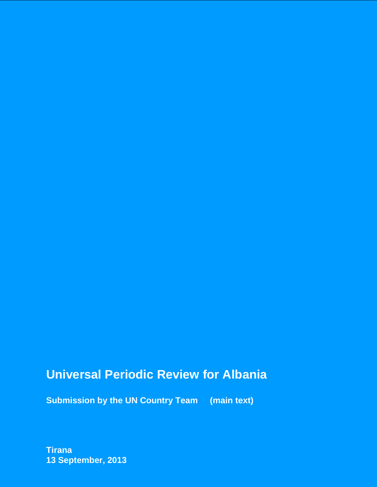# **Universal Periodic Review for Albania**

**Submission by the UN Country Team (main text)**

**Tirana 13 September, 2013**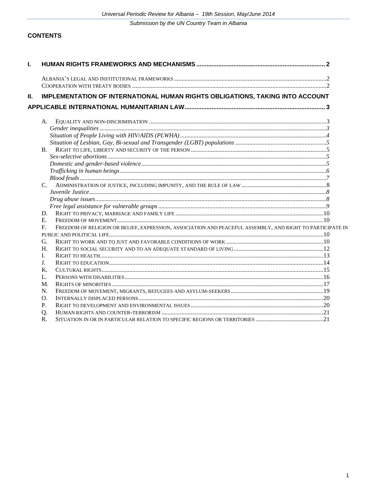# **CONTENTS**

| Ι. |                                                                                                                          |  |
|----|--------------------------------------------------------------------------------------------------------------------------|--|
|    |                                                                                                                          |  |
|    |                                                                                                                          |  |
| Ш. | IMPLEMENTATION OF INTERNATIONAL HUMAN RIGHTS OBLIGATIONS, TAKING INTO ACCOUNT                                            |  |
|    |                                                                                                                          |  |
|    | A.                                                                                                                       |  |
|    |                                                                                                                          |  |
|    |                                                                                                                          |  |
|    |                                                                                                                          |  |
|    | $\mathbf{B}$ .                                                                                                           |  |
|    |                                                                                                                          |  |
|    |                                                                                                                          |  |
|    |                                                                                                                          |  |
|    |                                                                                                                          |  |
|    | $C_{\cdot}$                                                                                                              |  |
|    |                                                                                                                          |  |
|    |                                                                                                                          |  |
|    |                                                                                                                          |  |
|    | D.                                                                                                                       |  |
|    | E.                                                                                                                       |  |
|    | FREEDOM OF RELIGION OR BELIEF, EXPRESSION, ASSOCIATION AND PEACEFUL ASSEMBLY, AND RIGHT TO PARTICIPATE IN<br>$F_{\cdot}$ |  |
|    |                                                                                                                          |  |
|    | G.                                                                                                                       |  |
|    | H.                                                                                                                       |  |
|    | I.                                                                                                                       |  |
|    | J.                                                                                                                       |  |
|    | K.                                                                                                                       |  |
|    | L.                                                                                                                       |  |
|    | M.                                                                                                                       |  |
|    | N.                                                                                                                       |  |
|    | O.                                                                                                                       |  |
|    | P.                                                                                                                       |  |
|    | Q.                                                                                                                       |  |
|    | R.                                                                                                                       |  |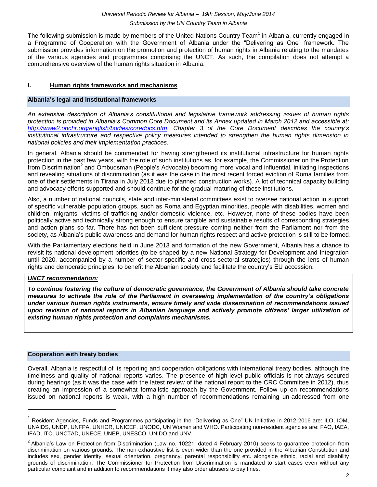The following submission is made by members of the United Nations Country Team<sup>1</sup> in Albania, currently engaged in a Programme of Cooperation with the Government of Albania under the "Delivering as One" framework. The submission provides information on the promotion and protection of human rights in Albania relating to the mandates of the various agencies and programmes comprising the UNCT. As such, the compilation does not attempt a comprehensive overview of the human rights situation in Albania.

#### **I. Human rights frameworks and mechanisms**

#### **Albania's legal and institutional frameworks**

*An extensive description of Albania's constitutional and legislative framework addressing issues of human rights protection is provided in Albania's Common Core Document and its Annex updated in March 2012 and accessible at: [http://www2.ohchr.org/english/bodies/coredocs.htm.](http://www2.ohchr.org/english/bodies/coredocs.htm) Chapter 3 of the Core Document describes the country's institutional infrastructure and respective policy measures intended to strengthen the human rights dimension in national policies and their implementation practices.*

In general, Albania should be commended for having strengthened its institutional infrastructure for human rights protection in the past few years, with the role of such institutions as, for example, the Commissioner on the Protection .<br>from Discrimination<sup>2</sup> and Ombudsman (People's Advocate) becoming more vocal and influential, initiating inspections and revealing situations of discrimination (as it was the case in the most recent forced eviction of Roma families from one of their settlements in Tirana in July 2013 due to planned construction works). A lot of technical capacity building and advocacy efforts supported and should continue for the gradual maturing of these institutions.

Also, a number of national councils, state and inter-ministerial committees exist to oversee national action in support of specific vulnerable population groups, such as Roma and Egyptian minorities, people with disabilities, women and children, migrants, victims of trafficking and/or domestic violence, etc. However, none of these bodies have been politically active and technically strong enough to ensure tangible and sustainable results of corresponding strategies and action plans so far. There has not been sufficient pressure coming neither from the Parliament nor from the society, as Albania's public awareness and demand for human rights respect and active protection is still to be formed.

With the Parliamentary elections held in June 2013 and formation of the new Government, Albania has a chance to revisit its national development priorities (to be shaped by a new National Strategy for Development and Integration until 2020, accompanied by a number of sector-specific and cross-sectoral strategies) through the lens of human rights and democratic principles, to benefit the Albanian society and facilitate the country's EU accession.

#### *UNCT recommendation:*

*To continue fostering the culture of democratic governance, the Government of Albania should take concrete measures to activate the role of the Parliament in overseeing implementation of the country's obligations under various human rights instruments, ensure timely and wide dissemination of recommendations issued upon revision of national reports in Albanian language and actively promote citizens' larger utilization of existing human rights protection and complaints mechanisms.*

#### **Cooperation with treaty bodies**

 $\overline{a}$ 

Overall, Albania is respectful of its reporting and cooperation obligations with international treaty bodies, although the timeliness and quality of national reports varies. The presence of high-level public officials is not always secured during hearings (as it was the case with the latest review of the national report to the CRC Committee in 2012), thus creating an impression of a somewhat formalistic approach by the Government. Follow up on recommendations issued on national reports is weak, with a high number of recommendations remaining un-addressed from one

<sup>1</sup> Resident Agencies, Funds and Programmes participating in the "Delivering as One" UN Initiative in 2012-2016 are: ILO, IOM, UNAIDS, UNDP, UNFPA, UNHCR, UNICEF, UNODC, UN Women and WHO. Participating non-resident agencies are: FAO, IAEA, IFAD, ITC, UNCTAD, UNECE, UNEP, UNESCO, UNIDO and UNV.

 $2$  Albania's Law on Protection from Discrimination (Law no. 10221, dated 4 February 2010) seeks to guarantee protection from discrimination on various grounds. The non-exhaustive list is even wider than the one provided in the Albanian Constitution and includes sex, gender identity, sexual orientation, pregnancy, parental responsibility etc. alongside ethnic, racial and disability grounds of discrimination. The Commissioner for Protection from Discrimination is mandated to start cases even without any particular complaint and in addition to recommendations it may also order abusers to pay fines.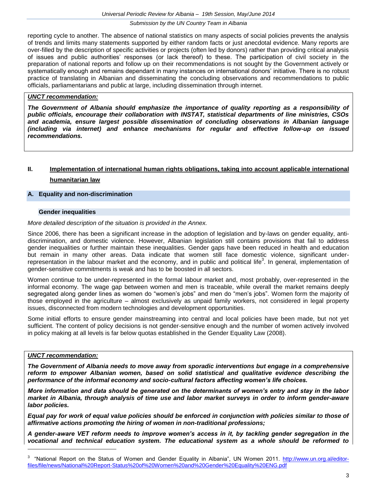reporting cycle to another. The absence of national statistics on many aspects of social policies prevents the analysis of trends and limits many statements supported by either random facts or just anecdotal evidence. Many reports are over-filled by the description of specific activities or projects (often led by donors) rather than providing critical analysis of issues and public authorities' responses (or lack thereof) to these. The participation of civil society in the preparation of national reports and follow up on their recommendations is not sought by the Government actively or systematically enough and remains dependant in many instances on international donors' initiative. There is no robust practice of translating in Albanian and disseminating the concluding observations and recommendations to public officials, parliamentarians and public at large, including dissemination through internet.

#### *UNCT recommendation:*

*The Government of Albania should emphasize the importance of quality reporting as a responsibility of public officials, encourage their collaboration with INSTAT, statistical departments of line ministries, CSOs and academia, ensure largest possible dissemination of concluding observations in Albanian language (including via internet) and enhance mechanisms for regular and effective follow-up on issued recommendations.*

# **II. Implementation of international human rights obligations, taking into account applicable international humanitarian law**

## **A. Equality and non-discrimination**

#### **Gender inequalities**

#### *More detailed description of the situation is provided in the Annex.*

Since 2006, there has been a significant increase in the adoption of legislation and by-laws on gender equality, antidiscrimination, and domestic violence. However, Albanian legislation still contains provisions that fail to address gender inequalities or further maintain these inequalities. Gender gaps have been reduced in health and education but remain in many other areas. Data indicate that women still face domestic violence, significant underrepresentation in the labour market and the economy, and in public and political life<sup>3</sup>. In general, implementation of gender-sensitive commitments is weak and has to be boosted in all sectors.

Women continue to be under-represented in the formal labour market and, most probably, over-represented in the informal economy. The wage gap between women and men is traceable, while overall the market remains deeply segregated along gender lines as women do "women's jobs" and men do "men's jobs". Women form the majority of those employed in the agriculture – almost exclusively as unpaid family workers, not considered in legal property issues, disconnected from modern technologies and development opportunities.

Some initial efforts to ensure gender mainstreaming into central and local policies have been made, but not yet sufficient. The content of policy decisions is not gender-sensitive enough and the number of women actively involved in policy making at all levels is far below quotas established in the Gender Equality Law (2008).

### *UNCT recommendation:*

*The Government of Albania needs to move away from sporadic interventions but engage in a comprehensive reform to empower Albanian women, based on solid statistical and qualitative evidence describing the performance of the informal economy and socio-cultural factors affecting women's life choices.*

*More information and data should be generated on the determinants of women's entry and stay in the labor market in Albania, through analysis of time use and labor market surveys in order to inform gender-aware labor policies.*

*Equal pay for work of equal value policies should be enforced in conjunction with policies similar to those of affirmative actions promoting the hiring of women in non-traditional professions;*

*A gender-aware VET reform needs to improve women's access in it, by tackling gender segregation in the vocational and technical education system. The educational system as a whole should be reformed to* 

<sup>3</sup> "National Report on the Status of Women and Gender Equality in Albania", UN Women 2011. [http://www.un.org.al/editor](http://www.un.org.al/editor-files/file/news/National%20Report-Status%20of%20Women%20and%20Gender%20Equality%20ENG.pdf)[files/file/news/National%20Report-Status%20of%20Women%20and%20Gender%20Equality%20ENG.pdf](http://www.un.org.al/editor-files/file/news/National%20Report-Status%20of%20Women%20and%20Gender%20Equality%20ENG.pdf)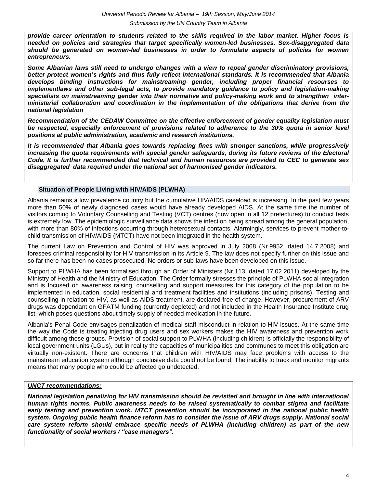*provide career orientation to students related to the skills required in the labor market. Higher focus is needed on policies and strategies that target specifically women-led businesses. Sex-disaggregated data should be generated on women-led businesses in order to formulate aspects of policies for women entrepreneurs.*

*Some Albanian laws still need to undergo changes with a view to repeal gender discriminatory provisions, better protect women's rights and thus fully reflect international standards. It is recommended that Albania develops binding instructions for mainstreaming gender, including proper financial resourses to implementlaws and other sub-legal acts, to provide mandatory guidance to policy and legislation-making specialists on mainstreaming gender into their normative and policy-making work and to strengthen interministerial collaboration and coordination in the implementation of the obligations that derive from the national legislation*

*Recommendation of the CEDAW Committee on the effective enforcement of gender equality legislation must be respected, especially enforcement of provisions related to adherence to the 30% quota in senior level positions at public administration, academic and research institutions.*

*It is recommended that Albania goes towards replacing fines with stronger sanctions, while progressively increasing the quota requirements with special gender safeguards, during its future reviews of the Electoral Code. It is further recommended that technical and human resources are provided to CEC to generate sex disaggregated data required under the national set of harmonised gender indicators.* 

### **Situation of People Living with HIV/AIDS (PLWHA)**

Albania remains a low prevalence country but the cumulative HIV/AIDS caseload is increasing. In the past few years more than 50% of newly diagnosed cases would have already developed AIDS. At the same time the number of visitors coming to Voluntary Counselling and Testing (VCT) centres (now open in all 12 prefectures) to conduct tests is extremely low. The epidemiologic surveillance data shows the infection being spread among the general population, with more than 80% of infections occurring through heterosexual contacts. Alarmingly, services to prevent mother-tochild transmission of HIV/AIDS (MTCT) have not been integrated in the health system.

The current Law on Prevention and Control of HIV was approved in July 2008 (Nr.9952, dated 14.7.2008) and foresees criminal responsibility for HIV transmission in its Article 9. The law does not specify further on this issue and so far there has been no cases prosecuted. No orders or sub-laws have been developed on this issue.

Support to PLWHA has been formalised through an Order of Ministers (Nr.113, dated 17.02.2011) developed by the Ministry of Health and the Ministry of Education. The Order formally stresses the principle of PLWHA social integration and is focused on awareness raising, counselling and support measures for this category of the population to be implemented in education, social residential and treatment facilities and institutions (including prisons). Testing and counselling in relation to HIV, as well as AIDS treatment, are declared free of charge. However, procurement of ARV drugs was dependant on GFATM funding (currently depleted) and not included in the Health Insurance Institute drug list, which poses questions about timely supply of needed medication in the future.

Albania's Penal Code envisages penalization of medical staff misconduct in relation to HIV issues. At the same time the way the Code is treating injecting drug users and sex workers makes the HIV awareness and prevention work difficult among these groups. Provision of social support to PLWHA (including children) is officially the responsibility of local government units (LGUs), but in reality the capacities of municipalities and communes to meet this obligation are virtually non-existent. There are concerns that children with HIV/AIDS may face problems with access to the mainstream education system although conclusive data could not be found. The inability to track and monitor migrants means that many people who could be affected go undetected.

# *UNCT recommendations:*

*National legislation penalizing for HIV transmission should be revisited and brought in line with international human rights norms. Public awareness needs to be raised systematically to combat stigma and facilitate early testing and prevention work. MTCT prevention should be incorporated in the national public health system. Ongoing public health finance reform has to consider the issue of ARV drugs supply. National social care system reform should embrace specific needs of PLWHA (including children) as part of the new functionality of social workers / "case managers".*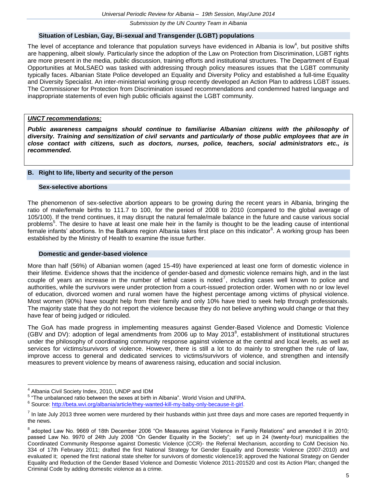#### **Situation of Lesbian, Gay, Bi-sexual and Transgender (LGBT) populations**

The level of acceptance and tolerance that population surveys have evidenced in Albania is low<sup>4</sup>, but positive shifts are happening, albeit slowly. Particularly since the adoption of the Law on Protection from Discrimination, LGBT rights are more present in the media, public discussion, training efforts and institutional structures. The Department of Equal Opportunities at MoLSAEO was tasked with addressing through policy measures issues that the LGBT community typically faces. Albanian State Police developed an Equality and Diversity Policy and established a full-time Equality and Diversity Specialist. An inter-ministerial working group recently developed an Action Plan to address LGBT issues. The Commissioner for Protection from Discrimination issued recommendations and condemned hatred language and inappropriate statements of even high public officials against the LGBT community.

### *UNCT recommendations:*

*Public awareness campaigns should continue to familiarise Albanian citizens with the philosophy of diversity. Training and sensitization of civil servants and particularly of those public employees that are in close contact with citizens, such as doctors, nurses, police, teachers, social administrators etc., is recommended.*

#### **B. Right to life, liberty and security of the person**

#### **Sex-selective abortions**

The phenomenon of sex-selective abortion appears to be growing during the recent years in Albania, bringing the ratio of male/female births to 111.7 to 100, for the period of 2008 to 2010 (compared to the global average of 105/100). If the trend continues, it may disrupt the natural female/male balance in the future and cause various social problems<sup>5</sup>. The desire to have at least one male heir in the family is thought to be the leading cause of intentional .<br>Female infants' abortions. In the Balkans region Albania takes first place on this indicator<sup>6</sup>. A working group has been established by the Ministry of Health to examine the issue further.

#### **Domestic and gender-based violence**

More than half (56%) of Albanian women (aged 15-49) have experienced at least one form of domestic violence in their lifetime. Evidence shows that the incidence of gender-based and domestic violence remains high, and in the last couple of years an increase in the number of lethal cases is noted<sup>7</sup>, including cases well known to police and authorities, while the survivors were under protection from a court-issued protection order. Women with no or low level of education, divorced women and rural women have the highest percentage among victims of physical violence. Most women (90%) have sought help from their family and only 10% have tried to seek help through professionals. The majority state that they do not report the violence because they do not believe anything would change or that they have fear of being judged or ridiculed.

The GoA has made progress in implementing measures against Gender-Based Violence and Domestic Violence (GBV and DV): adoption of legal amendments from 2006 up to May 2013 $^8$ , establishment of institutional structures under the philosophy of coordinating community response against violence at the central and local levels, as well as services for victims/survivors of violence. However, there is still a lot to do mainly to strengthen the rule of law, improve access to general and dedicated services to victims/survivors of violence, and strengthen and intensify measures to prevent violence by means of awareness raising, education and social inclusion.

 $4$  Albania Civil Society Index, 2010, UNDP and IDM

<sup>&</sup>lt;sup>5</sup> "The unbalanced ratio between the sexes at birth in Albania". World Vision and UNFPA.

<sup>&</sup>lt;sup>6</sup> Source: [http://beta.wvi.org/albania/article/they-wanted-kill-my-baby-only-because-it-girl.](http://beta.wvi.org/albania/article/they-wanted-kill-my-baby-only-because-it-girl)

 $^7$  In late July 2013 three women were murdered by their husbands within just three days and more cases are reported frequently in the news.

<sup>&</sup>lt;sup>8</sup> adopted Law No. 9669 of 18th December 2006 "On Measures against Violence in Family Relations" and amended it in 2010; passed Law No. 9970 of 24th July 2008 "On Gender Equality in the Society"; set up in 24 (twenty-four) municipalities the Coordinated Community Response against Domestic Violence (CCR)- the Referral Mechanism, according to CoM Decision No. 334 of 17th February 2011; drafted the first National Strategy for Gender Equality and Domestic Violence (2007-2010) and evaluated it; opened the first national state shelter for survivors of domestic violence19; approved the National Strategy on Gender Equality and Reduction of the Gender Based Violence and Domestic Violence 2011-201520 and cost its Action Plan; changed the Criminal Code by adding domestic violence as a crime.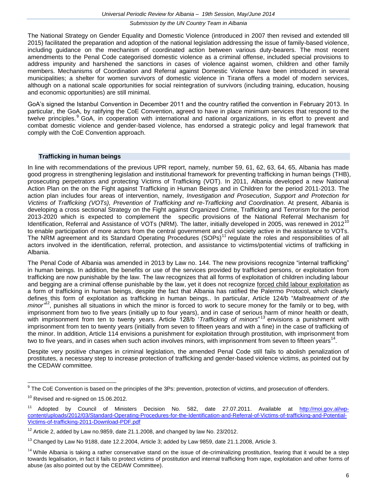The National Strategy on Gender Equality and Domestic Violence (introduced in 2007 then revised and extended till 2015) facilitated the preparation and adoption of the national legislation addressing the issue of family-based violence, including guidance on the mechanism of coordinated action between various duty-bearers. The most recent amendments to the Penal Code categorised domestic violence as a criminal offense, included special provisions to address impunity and harshened the sanctions in cases of violence against women, children and other family members. Mechanisms of Coordination and Referral against Domestic Violence have been introduced in several municipalities; a shelter for women survivors of domestic violence in Tirana offers a model of modern services, although on a national scale opportunities for social reintegration of survivors (including training, education, housing and economic opportunities) are still minimal.

GoA's signed the Istanbul Convention in December 2011 and the country ratified the convention in February 2013. In particular, the GoA, by ratifying the CoE Convention, agreed to have in place minimum services that respond to the twelve principles.<sup>9</sup> GoA, in cooperation with international and national organizations, in its effort to prevent and combat domestic violence and gender-based violence, has endorsed a strategic policy and legal framework that comply with the CoE Convention approach.

#### **Trafficking in human beings**

In line with recommendations of the previous UPR report, namely, number 59, 61, 62, 63, 64, 65, Albania has made good progress in strengthening legislation and institutional framework for preventing trafficking in human beings (THB), prosecuting perpetrators and protecting Victims of Trafficking (VOT). In 2011, Albania developed a new National Action Plan on the on the Fight against Trafficking in Human Beings and in Children for the period 2011-2013. The action plan includes four areas of intervention, namely, *Investigation and Prosecution*, *Support and Protection for Victims of Trafficking (VOTs), Prevention of Trafficking and re-Trafficking and Coordination*. At present, Albania is developing a cross sectional Strategy on the Fight against Organized Crime, Trafficking and Terrorism for the period 2013-2020 which is expected to complement the specific provisions of the National Referral Mechanism for Identification, Referral and Assistance of VOTs (NRM). The latter, initially developed in 2005, was renewed in 2012<sup>10</sup> to enable participation of more actors from the central government and civil society active in the assistance to VOTs. The NRM agreement and its Standard Operating Procedures (SOPs)<sup>11</sup> regulate the roles and responsibilities of all actors involved in the identification, referral, protection, and assistance to victims/potential victims of trafficking in Albania.

The Penal Code of Albania was amended in 2013 by Law no. 144. The new provisions recognize "internal trafficking" in human beings. In addition, the benefits or use of the services provided by trafficked persons, or exploitation from trafficking are now punishable by the law. The law recognizes that all forms of exploitation of children including labour and begging are a criminal offense punishable by the law, yet it does not recognize forced child labour exploitation as a form of trafficking in human beings, despite the fact that Albania has ratified the Palermo Protocol, which clearly defines this form of exploitation as trafficking in human beings.. In particular, Article 124/b "*Maltreatment of the*  minor<sup>"12</sup>, punishes all situations in which the minor is forced to work to secure money for the family or to beg, with imprisonment from two to five years (initially up to four years), and in case of serious harm of minor health or death, with imprisonment from ten to twenty years. Article 128/b *Trafficking of minors*"<sup>13</sup> envisions a punishment with imprisonment from ten to twenty years (initially from seven to fifteen years and with a fine) in the case of trafficking of the minor. In addition, Article 114 envisions a punishment for exploitation through prostitution, with imprisonment from two to five years, and in cases when such action involves minors, with imprisonment from seven to fifteen years<sup>14</sup>.

Despite very positive changes in criminal legislation, the amended Penal Code still fails to abolish penalization of prostitutes, a necessary step to increase protection of trafficking and gender-based violence victims, as pointed out by the CEDAW committee.

 9 The CoE Convention is based on the principles of the 3Ps: prevention, protection of victims, and prosecution of offenders.

 $10$  Revised and re-signed on 15.06.2012.

<sup>&</sup>lt;sup>11</sup> Adopted by Council of Ministers Decision No. 582, date 27.07.2011. Available at [http://moi.gov.al/wp](http://moi.gov.al/wp-content/uploads/2012/03/Standard-Operating-Procedures-for-the-Identification-and-Referral-of-Victims-of-trafficking-and-Potential-Victims-of-trafficking-2011-Download-PDF.pdf)[content/uploads/2012/03/Standard-Operating-Procedures-for-the-Identification-and-Referral-of-Victims-of-trafficking-and-Potential-](http://moi.gov.al/wp-content/uploads/2012/03/Standard-Operating-Procedures-for-the-Identification-and-Referral-of-Victims-of-trafficking-and-Potential-Victims-of-trafficking-2011-Download-PDF.pdf)[Victims-of-trafficking-2011-Download-PDF.pdf](http://moi.gov.al/wp-content/uploads/2012/03/Standard-Operating-Procedures-for-the-Identification-and-Referral-of-Victims-of-trafficking-and-Potential-Victims-of-trafficking-2011-Download-PDF.pdf)

 $12$  Article 2, added by Law no.9859, date 21.1.2008, and changed by law No. 23/2012.

 $13$  Changed by Law No 9188, date 12.2.2004, Article 3; added by Law 9859, date 21.1.2008, Article 3.

<sup>&</sup>lt;sup>14</sup> While Albania is taking a rather conservative stand on the issue of de-criminalizing prostitution, fearing that it would be a step towards legalisation, in fact it fails to protect victims of prostitution and internal trafficking from rape, exploitation and other forms of abuse (as also pointed out by the CEDAW Committee).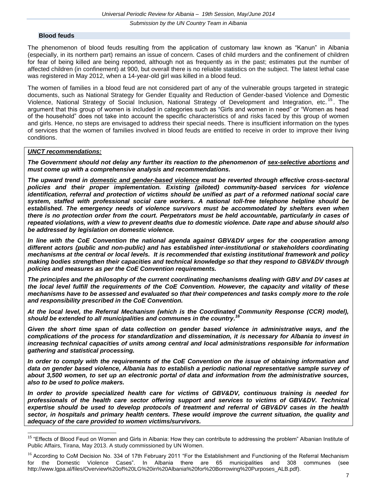#### **Blood feuds**

The phenomenon of blood feuds resulting from the application of customary law known as "Kanun" in Albania (especially, in its northern part) remains an issue of concern. Cases of child murders and the confinement of children for fear of being killed are being reported, although not as frequently as in the past; estimates put the number of affected children (in confinement) at 900, but overall there is no reliable statistics on the subject. The latest lethal case was registered in May 2012, when a 14-year-old girl was killed in a blood feud.

The women of families in a blood feud are not considered part of any of the vulnerable groups targeted in strategic documents, such as National Strategy for Gender Equality and Reduction of Gender-based Violence and Domestic Violence, National Strategy of Social Inclusion, National Strategy of Development and Integration, etc.<sup>15</sup>. The argument that this group of women is included in categories such as "Girls and women in need" or "Women as head of the household" does not take into account the specific characteristics of and risks faced by this group of women and girls. Hence, no steps are envisaged to address their special needs. There is insufficient information on the types of services that the women of families involved in blood feuds are entitled to receive in order to improve their living conditions.

#### *UNCT recommendations:*

*The Government should not delay any further its reaction to the phenomenon of sex-selective abortions and must come up with a comprehensive analysis and recommendations.*

*The upward trend in domestic and gender-based violence must be reverted through effective cross-sectoral policies and their proper implementation. Existing (piloted) community-based services for violence identification, referral and protection of victims should be unified as part of a reformed national social care system, staffed with professional social care workers. A national toll-free telephone helpline should be established. The emergency needs of violence survivors must be accommodated by shelters even when there is no protection order from the court. Perpetrators must be held accountable, particularly in cases of repeated violations, with a view to prevent deaths due to domestic violence. Date rape and abuse should also be addressed by legislation on domestic violence.*

*In line with the CoE Convention the national agenda against GBV&DV urges for the cooperation among different actors (public and non-public) and has established inter-institutional or stakeholders coordinating mechanisms at the central or local levels. It is recommended that existing institutional framework and policy making bodies strengthen their capacities and technical knowledge so that they respond to GBV&DV through policies and measures as per the CoE Convention requirements.*

*The principles and the philosophy of the current coordinating mechanisms dealing with GBV and DV cases at the local level fulfill the requirements of the CoE Convention. However, the capacity and vitality of these mechanisms have to be assessed and evaluated so that their competences and tasks comply more to the role and responsibility prescribed in the CoE Convention.*

*At the local level, the Referral Mechanism (which is the Coordinated Community Response (CCR) model), should be extended to all municipalities and communes in the country. 16*

*Given the short time span of data collection on gender based violence in administrative ways, and the complications of the process for standardization and dissemination, it is necessary for Albania to invest in increasing technical capacities of units among central and local administrations responsible for information gathering and statistical processing.* 

*In order to comply with the requirements of the CoE Convention on the issue of obtaining information and data on gender based violence, Albania has to establish a periodic national representative sample survey of about 3,500 women, to set up an electronic portal of data and information from the administrative sources, also to be used to police makers.*

*In order to provide specialized health care for victims of GBV&DV, continuous training is needed for professionals of the health care sector offering support and services to victims of GBV&DV. Technical expertise should be used to develop protocols of treatment and referral of GBV&DV cases in the health sector, in hospitals and primary health centers. These would improve the current situation, the quality and adequacy of the care provided to women victims/survivors.*

 $15\,$ "Effects of Blood Feud on Women and Girls in Albania: How they can contribute to addressing the problem" Albanian Institute of Public Affairs, Tirana, May 2013. A study commissioned by UN Women.

<sup>&</sup>lt;sup>16</sup> According to CoM Decision No. 334 of 17th February 2011 "For the Establishment and Functioning of the Referral Mechanism for the Domestic Violence Cases". In Albania there are 65 municipalities and 308 communes (see http://www.lgpa.al/files/Overview%20of%20LG%20in%20Albania%20for%20Borrowing%20Purposes\_ALB.pdf).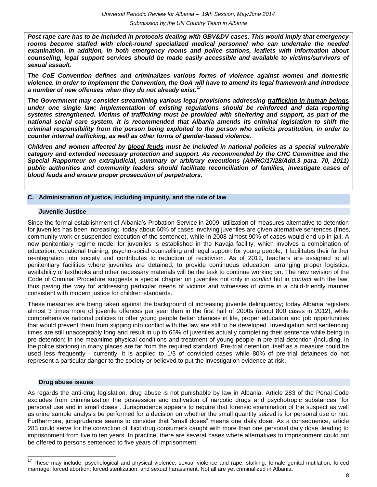*Post rape care has to be included in protocols dealing with GBV&DV cases. This would imply that emergency rooms become staffed with clock-round specialized medical personnel who can undertake the needed examination. In addition, in both emergency rooms and police stations, leaflets with information about counseling, legal support services should be made easily accessible and available to victims/survivors of sexual assault.*

*The CoE Convention defines and criminalizes various forms of violence against women and domestic violence. In order to implement the Convention, the GoA will have to amend its legal framework and introduce a number of new offenses when they do not already exist.<sup>17</sup>*

*The Government may consider streamlining various legal provisions addressing trafficking in human beings under one single law; implementation of existing regulations should be reinforced and data reporting systems strengthened. Victims of trafficking must be provided with sheltering and support, as part of the national social care system. It is recommended that Albania amends its criminal legislation to shift the criminal responsibility from the person being exploited to the person who solicits prostitution, in order to counter internal trafficking, as well as other forms of gender-based violence.*

*Children and women affected by blood feuds must be included in national policies as a special vulnerable category and extended necessary protection and support. As recommended by the CRC Committee and the Special Rapporteur on extrajudicial, summary or arbitrary executions (A/HRC/17/28/Add.3 para. 70, 2011) public authorities and community leaders should facilitate reconciliation of families, investigate cases of blood feuds and ensure proper prosecution of perpetrators.*

#### **C. Administration of justice, including impunity, and the rule of law**

#### **Juvenile Justice**

Since the formal establishment of Albania's Probation Service in 2009, utilization of measures alternative to detention for juveniles has been increasing; today about 60% of cases involving juveniles are given alternative sentences (fines, community work or suspended execution of the sentence), while in 2008 almost 90% of cases would end up in jail. A new penitentiary regime model for juveniles is established in the Kavaja facility, which involves a combination of education, vocational training, psycho-social counselling and legal support for young people; it facilitates their further re-integration into society and contributes to reduction of recidivism. As of 2012, teachers are assigned to all penitentiary facilities where juveniles are detained, to provide continuous education; arranging proper logistics, availability of textbooks and other necessary materials will be the task to continue working on. The new revision of the Code of Criminal Procedure suggests a special chapter on juveniles not only in *conflict* but in *contact* with the law, thus paving the way for addressing particular needs of victims and witnesses of crime in a child-friendly manner consistent with modern justice for children standards.

These measures are being taken against the background of increasing juvenile delinquency; today Albania registers almost 3 times more of juvenile offences per year than in the first half of 2000s (about 800 cases in 2012), while comprehensive national policies to offer young people better chances in life, proper education and job opportunities that would prevent them from slipping into conflict with the law are still to be developed. Investigation and sentencing times are still unacceptably long and result in up to 65% of juveniles actually completing their sentence while being in pre-detention; in the meantime physical conditions and treatment of young people in pre-trial detention (including, in the police stations) in many places are far from the required standard. Pre-trial detention itself as a measure could be used less frequently - currently, it is applied to 1/3 of convicted cases while 80% of pre-trial detainees do not represent a particular danger to the society or believed to put the investigation evidence at risk.

#### **Drug abuse issues**

As regards the anti-drug legislation, drug abuse is not punishable by law in Albania. Article 283 of the Penal Code excludes from criminalization the possession and cultivation of narcotic drugs and psychotropic substances "for personal use and in small doses". Jurisprudence appears to require that forensic examination of the suspect as well as urine sample analysis be performed for a decision on whether the small quantity seized is for personal use or not. Furthermore, jurisprudence seems to consider that "small doses" means one daily dose. As a consequence, article 283 could serve for the conviction of illicit drug consumers caught with more than one personal daily dose, leading to imprisonment from five to ten years. In practice, there are several cases where alternatives to imprisonment could not be offered to persons sentenced to five years of imprisonment.

<sup>&</sup>lt;sup>17</sup> These may include: psychological and physical violence; sexual violence and rape; stalking; female genital mutilation; forced marriage; forced abortion; forced sterilization; and sexual harassment. Not all are yet criminalized in Albania.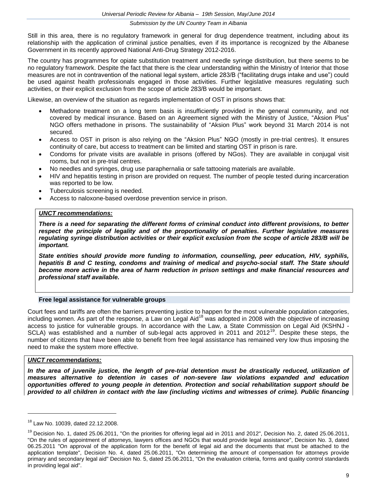Still in this area, there is no regulatory framework in general for drug dependence treatment, including about its relationship with the application of criminal justice penalties, even if its importance is recognized by the Albanese Government in its recently approved National Anti-Drug Strategy 2012-2016.

The country has programmes for opiate substitution treatment and needle syringe distribution, but there seems to be no regulatory framework. Despite the fact that there is the clear understanding within the Ministry of Interior that those measures are not in contravention of the national legal system, article 283/B ("facilitating drugs intake and use") could be used against health professionals engaged in those activities. Further legislative measures regulating such activities, or their explicit exclusion from the scope of article 283/B would be important.

Likewise, an overview of the situation as regards implementation of OST in prisons shows that:

- Methadone treatment on a long term basis is insufficiently provided in the general community, and not covered by medical insurance. Based on an Agreement signed with the Ministry of Justice, "Aksion Plus" NGO offers methadone in prisons. The sustainability of "Aksion Plus" work beyond 31 March 2014 is not secured.
- Access to OST in prison is also relying on the "Aksion Plus" NGO (mostly in pre-trial centres). It ensures continuity of care, but access to treatment can be limited and starting OST in prison is rare.
- Condoms for private visits are available in prisons (offered by NGos). They are available in conjugal visit rooms, but not in pre-trial centres.
- No needles and syringes, drug use paraphernalia or safe tattooing materials are available.
- HIV and hepatitis testing in prison are provided on request. The number of people tested during incarceration was reported to be low.
- Tuberculosis screening is needed.
- Access to naloxone-based overdose prevention service in prison.

#### *UNCT recommendations:*

*There is a need for separating the different forms of criminal conduct into different provisions, to better respect the principle of legality and of the proportionality of penalties. Further legislative measures regulating syringe distribution activities or their explicit exclusion from the scope of article 283/B will be important.*

*State entities should provide more funding to information, counselling, peer education, HIV, syphilis, hepatitis B and C testing, condoms and training of medical and psycho-social staff. The State should become more active in the area of harm reduction in prison settings and make financial resources and professional staff available.*

#### **Free legal assistance for vulnerable groups**

Court fees and tariffs are often the barriers preventing justice to happen for the most vulnerable population categories, including women. As part of the response, a Law on Legal Aid<sup>18</sup> was adopted in 2008 with the objective of increasing access to justice for vulnerable groups. In accordance with the Law, a State Commission on Legal Aid (KSHNJ - SCLA) was established and a number of sub-legal acts approved in 2011 and 2012<sup>19</sup>. Despite these steps, the number of citizens that have been able to benefit from free legal assistance has remained very low thus imposing the need to make the system more effective.

#### *UNCT recommendations:*

In the area of juvenile justice, the length of pre-trial detention must be drastically reduced, utilization of *measures alternative to detention in cases of non-severe law violations expanded and education opportunities offered to young people in detention. Protection and social rehabilitation support should be provided to all children in contact with the law (including victims and witnesses of crime). Public financing* 

<sup>18</sup> Law No. 10039, dated 22.12.2008.

 $19$  Decision No. 1, dated 25.06.2011, "On the priorities for offering legal aid in 2011 and 2012", Decision No. 2, dated 25.06.2011, "On the rules of appointment of attorneys, lawyers offices and NGOs that would provide legal assistance", Decision No. 3, dated 06.25.2011 "On approval of the application form for the benefit of legal aid and the documents that must be attached to the application template", Decision No. 4, dated 25.06.2011, "On determining the amount of compensation for attorneys provide primary and secondary legal aid" Decision No. 5, dated 25.06.2011, "On the evaluation criteria, forms and quality control standards in providing legal aid".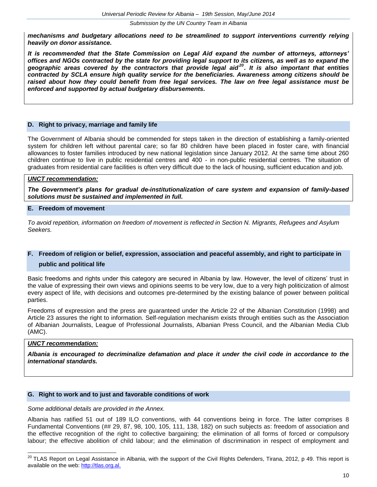*mechanisms and budgetary allocations need to be streamlined to support interventions currently relying heavily on donor assistance.* 

*It is recommended that the State Commission on Legal Aid expand the number of attorneys, attorneys' offices and NGOs contracted by the state for providing legal support to its citizens, as well as to expand the geographic areas covered by the contractors that provide legal aid<sup>20</sup>. It is also important that entities contracted by SCLA ensure high quality service for the beneficiaries. Awareness among citizens should be raised about how they could benefit from free legal services. The law on free legal assistance must be enforced and supported by actual budgetary disbursements.*

#### **D. Right to privacy, marriage and family life**

The Government of Albania should be commended for steps taken in the direction of establishing a family-oriented system for children left without parental care; so far 80 children have been placed in foster care, with financial allowances to foster families introduced by new national legislation since January 2012. At the same time about 260 children continue to live in public residential centres and 400 - in non-public residential centres. The situation of graduates from residential care facilities is often very difficult due to the lack of housing, sufficient education and job.

#### *UNCT recommendation:*

*The Government's plans for gradual de-institutionalization of care system and expansion of family-based solutions must be sustained and implemented in full.*

#### **E. Freedom of movement**

*To avoid repetition, information on freedom of movement is reflected in Section N. Migrants, Refugees and Asylum Seekers.*

# **F. Freedom of religion or belief, expression, association and peaceful assembly, and right to participate in public and political life**

Basic freedoms and rights under this category are secured in Albania by law. However, the level of citizens' trust in the value of expressing their own views and opinions seems to be very low, due to a very high politicization of almost every aspect of life, with decisions and outcomes pre-determined by the existing balance of power between political parties.

Freedoms of expression and the press are guaranteed under the Article 22 of the Albanian Constitution (1998) and Article 23 assures the right to information. Self-regulation mechanism exists through entities such as the Association of Albanian Journalists, League of Professional Journalists, Albanian Press Council, and the Albanian Media Club (AMC).

## *UNCT recommendation:*

*Albania is encouraged to decriminalize defamation and place it under the civil code in accordance to the international standards.*

#### **G. Right to work and to just and favorable conditions of work**

#### *Some additional details are provided in the Annex.*

Albania has ratified 51 out of 189 ILO conventions, with 44 conventions being in force. The latter comprises 8 Fundamental Conventions (## 29, 87, 98, 100, 105, 111, 138, 182) on such subjects as: freedom of association and the effective recognition of the right to collective bargaining; the elimination of all forms of forced or compulsory labour; the effective abolition of child labour; and the elimination of discrimination in respect of employment and

 $^{20}$  TLAS Report on Legal Assistance in Albania, with the support of the Civil Rights Defenders, Tirana, 2012, p 49. This report is available on the web: [http://tlas.org.al.](http://tlas.org.al/)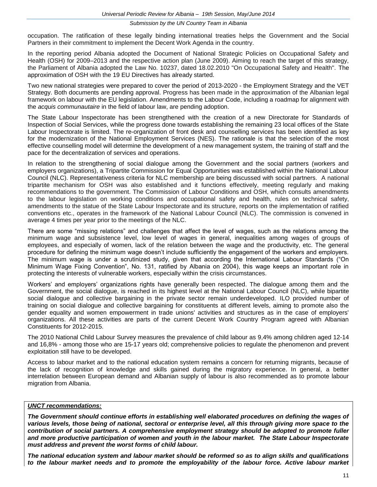occupation. The ratification of these legally binding international treaties helps the Government and the Social Partners in their commitment to implement the Decent Work Agenda in the country.

In the reporting period Albania adopted the Document of National Strategic Policies on Occupational Safety and Health (OSH) for 2009–2013 and the respective action plan (June 2009). Aiming to reach the target of this strategy, the Parliament of Albania adopted the Law No. 10237, dated 18.02.2010 "On Occupational Safety and Health". The approximation of OSH with the 19 EU Directives has already started.

Two new national strategies were prepared to cover the period of 2013-2020 - the Employment Strategy and the VET Strategy. Both documents are pending approval. Progress has been made in the approximation of the Albanian legal framework on labour with the EU legislation. Amendments to the Labour Code, including a roadmap for alignment with the *acquis communautaire* in the field of labour law, are pending adoption.

The State Labour Inspectorate has been strengthened with the creation of a new Directorate for Standards of Inspection of Social Services, while the progress done towards establishing the remaining 23 local offices of the State Labour Inspectorate is limited. The re-organization of front desk and counselling services has been identified as key for the modernization of the National Employment Services (NES). The rationale is that the selection of the most effective counselling model will determine the development of a new management system, the training of staff and the pace for the decentralization of services and operations.

In relation to the strengthening of social dialogue among the Government and the social partners (workers and employers organizations), a Tripartite Commission for Equal Opportunities was established within the National Labour Council (NLC). Representativeness criteria for NLC membership are being discussed with social partners. A national tripartite mechanism for OSH was also established and it functions effectively, meeting regularly and making recommendations to the government. The Commission of Labour Conditions and OSH, which consults amendments to the labour legislation on working conditions and occupational safety and health, rules on technical safety, amendments to the statue of the State Labour Inspectorate and its structure, reports on the implementation of ratified conventions etc., operates in the framework of the National Labour Council (NLC). The commission is convened in average 4 times per year prior to the meetings of the NLC.

There are some "missing relations" and challenges that affect the level of wages, such as the relations among the minimum wage and subsistence level, low level of wages in general, inequalities among wages of groups of employees, and especially of women, lack of the relation between the wage and the productivity, etc. The general procedure for defining the minimum wage doesn't include sufficiently the engagement of the workers and employers. The minimum wage is under a scrutinized study, given that according the International Labour Standards ("On Minimum Wage Fixing Convention", No. 131, ratified by Albania on 2004), this wage keeps an important role in protecting the interests of vulnerable workers, especially within the crisis circumstances.

Workers' and employers' organizations rights have generally been respected. The dialogue among them and the Government, the social dialogue, is reached in its highest level at the National Labour Council (NLC), while bipartite social dialogue and collective bargaining in the private sector remain underdeveloped. ILO provided number of training on social dialogue and collective bargaining for constituents at different levels, aiming to promote also the gender equality and women empowerment in trade unions' activities and structures as in the case of employers' organizations. All these activities are parts of the current Decent Work Country Program agreed with Albanian Constituents for 2012-2015.

The 2010 National Child Labour Survey measures the prevalence of child labour as 9,4% among children aged 12-14 and 16,8% - among those who are 15-17 years old; comprehensive policies to regulate the phenomenon and prevent exploitation still have to be developed.

Access to labour market and to the national education system remains a concern for returning migrants, because of the lack of recognition of knowledge and skills gained during the migratory experience. In general, a better interrelation between European demand and Albanian supply of labour is also recommended as to promote labour migration from Albania.

## *UNCT recommendations:*

*The Government should continue efforts in establishing well elaborated procedures on defining the wages of various levels, those being of national, sectoral or enterprise level, all this through giving more space to the contribution of social partners. A comprehensive employment strategy should be adopted to promote fuller and more productive participation of women and youth in the labour market. The State Labour Inspectorate must address and prevent the worst forms of child labour.*

*The national education system and labour market should be reformed so as to align skills and qualifications to the labour market needs and to promote the employability of the labour force. Active labour market*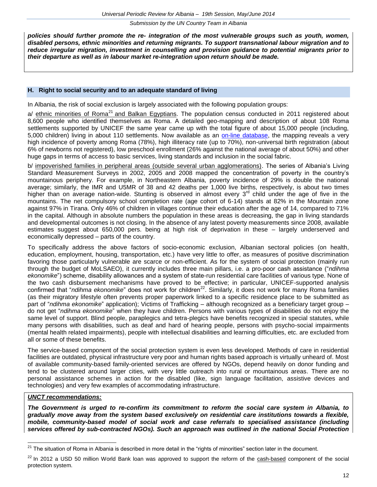*policies should further promote the re- integration of the most vulnerable groups such as youth, women, disabled persons, ethnic minorities and returning migrants. To support transnational labour migration and to reduce irregular migration, investment in counselling and provision guidance to potential migrants prior to their departure as well as in labour market re-integration upon return should be made.*

#### **H. Right to social security and to an adequate standard of living**

In Albania, the risk of social exclusion is largely associated with the following population groups:

a/ ethnic minorities of Roma<sup>21</sup> and Balkan Egyptians. The population census conducted in 2011 registered about 8,600 people who identified themselves as Roma. A detailed geo-mapping and description of about 108 Roma settlements supported by UNICEF the same year came up with the total figure of about 15,000 people (including, 5,000 children) living in about 110 settlements. Now available as an [on-line database,](http://www.sidalbania.org/romacom.html) the mapping reveals a very high incidence of poverty among Roma (78%), high illiteracy rate (up to 70%), non-universal birth registration (about 6% of newborns not registered), low preschool enrollment (26% against the national average of about 50%) and other huge gaps in terms of access to basic services, living standards and inclusion in the social fabric.

b/ impoverished families in peripheral areas (outside several urban agglomerations). The series of Albania's Living Standard Measurement Surveys in 2002, 2005 and 2008 mapped the concentration of poverty in the country's mountainous periphery. For example, in Northeastern Albania, poverty incidence of 29% is double the national average; similarly, the IMR and U5MR of 38 and 42 deaths per 1,000 live births, respectively, is about two times higher than on average nation-wide. Stunting is observed in almost every  $3<sup>rd</sup>$  child under the age of five in the mountains. The net compulsory school completion rate (age cohort of 6-14) stands at 82% in the Mountain zone against 97% in Tirana. Only 46% of children in villages continue their education after the age of 14, compared to 71% in the capital. Although in absolute numbers the population in these areas is decreasing, the gap in living standards and developmental outcomes is not closing. In the absence of any latest poverty measurements since 2008, available estimates suggest about 650,000 pers. being at high risk of deprivation in these – largely underserved and economically depressed – parts of the country.

To specifically address the above factors of socio-economic exclusion, Albanian sectoral policies (on health, education, employment, housing, transportation, etc.) have very little to offer, as measures of positive discrimination favoring those particularly vulnerable are scarce or non-efficient. As for the system of social protection (mainly run through the budget of MoLSAEO), it currently includes three main pillars, i.e. a pro-poor cash assistance ("*ndihma ekonomike*") scheme, disability allowances and a system of state-run residential care facilities of various type. None of the two cash disbursement mechanisms have proved to be effective; in particular, UNICEF-supported analysis confirmed that "*ndihma ekonomike*" does not work for children<sup>22</sup>. Similarly, it does not work for many Roma families (as their migratory lifestyle often prevents proper paperwork linked to a specific residence place to be submitted as part of "*ndihma ekonomike*" application); Victims of Trafficking – although recognized as a beneficiary target group – do not get "*ndihma ekonomike*" when they have children. Persons with various types of disabilities do not enjoy the same level of support. Blind people, paraplegics and tetra-plegics have benefits recognized in special statutes, while many persons with disabilities, such as deaf and hard of hearing people, persons with psycho-social impairments (mental health related impairments), people with intellectual disabilities and learning difficulties, etc. are excluded from all or some of these benefits.

The service-based component of the social protection system is even less developed. Methods of care in residential facilities are outdated, physical infrastructure very poor and human rights based approach is virtually unheard of. Most of available community-based family-oriented services are offered by NGOs, depend heavily on donor funding and tend to be clustered around larger cities, with very little outreach into rural or mountainous areas. There are no personal assistance schemes in action for the disabled (like, sign language facilitation, assistive devices and technologies) and very few examples of accommodating infrastructure.

# *UNCT recommendations:*

 $\overline{\phantom{a}}$ 

*The Government is urged to re-confirm its commitment to reform the social care system in Albania, to gradually move away from the system based exclusively on residential care institutions towards a flexible, mobile, community-based model of social work and case referrals to specialised assistance (including services offered by sub-contracted NGOs). Such an approach was outlined in the [national Social Protection](http://www.dsdc.gov.al/dsdc/pub/strategjia_e_mbrojtjes_sociale_163_1.pdf)* 

<sup>&</sup>lt;sup>21</sup> The situation of Roma in Albania is described in more detail in the "rights of minorities" section later in the document.

<sup>&</sup>lt;sup>22</sup> In 2012 a USD 50 million World Bank loan was approved to support the reform of the cash-based component of the social protection system.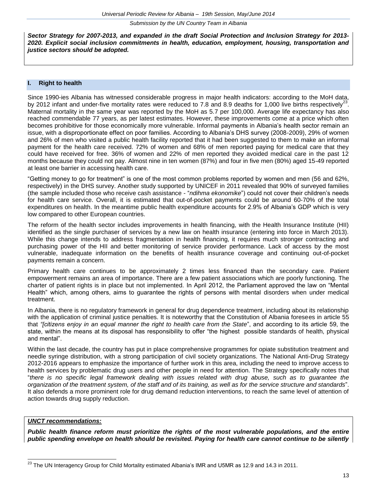*[Sector Strategy for 2007-2013,](http://www.dsdc.gov.al/dsdc/pub/strategjia_e_mbrojtjes_sociale_163_1.pdf) and expanded in the draft Social Protection and Inclusion Strategy for 2013- 2020. Explicit social inclusion commitments in health, education, employment, housing, transportation and justice sectors should be adopted.*

#### **I. Right to health**

Since 1990-ies Albania has witnessed considerable progress in major health indicators: according to the MoH data, by 2012 infant and under-five mortality rates were reduced to 7.8 and 8.9 deaths for 1,000 live births respectively<sup>23</sup>. Maternal mortality in the same year was reported by the MoH as 5.7 per 100,000. Average life expectancy has also reached commendable 77 years, as per latest estimates. However, these improvements come at a price which often becomes prohibitive for those economically more vulnerable. Informal payments in Albania's health sector remain an issue, with a disproportionate effect on poor families. According to Albania's DHS survey (2008-2009), 29% of women and 26% of men who visited a public health facility reported that it had been suggested to them to make an informal payment for the health care received. 72% of women and 68% of men reported paying for medical care that they could have received for free. 36% of women and 22% of men reported they avoided medical care in the past 12 months because they could not pay. Almost nine in ten women (87%) and four in five men (80%) aged 15-49 reported at least one barrier in accessing health care.

"Getting money to go for treatment" is one of the most common problems reported by women and men (56 and 62%, respectively) in the DHS survey. Another study supported by UNICEF in 2011 revealed that 90% of surveyed families (the sample included those who receive cash assistance - "*ndihma ekonomike*") could not cover their children's needs for health care service. Overall, it is estimated that out-of-pocket payments could be around 60-70% of the total expenditures on health. In the meantime public health expenditure accounts for 2.9% of Albania's GDP which is very low compared to other European countries.

The reform of the health sector includes improvements in health financing, with the Health Insurance Institute (HII) identified as the single purchaser of services by a new law on health insurance (entering into force in March 2013). While this change intends to address fragmentation in health financing, it requires much stronger contracting and purchasing power of the HII and better monitoring of service provider performance. Lack of access by the most vulnerable, inadequate information on the benefits of health insurance coverage and continuing out-of-pocket payments remain a concern.

Primary health care continues to be approximately 2 times less financed than the secondary care. Patient empowerment remains an area of importance. There are a few patient associations which are poorly functioning. The charter of patient rights is in place but not implemented. In April 2012, the Parliament approved the law on "Mental Health" which, among others, aims to guarantee the rights of persons with mental disorders when under medical treatment.

In Albania, there is no regulatory framework in general for drug dependence treatment, including about its relationship with the application of criminal justice penalties. It is noteworthy that the Constitution of Albania foresees in article 55 that *"[citizens enjoy in an equal manner the right to health care from the State*", and according to its article 59, the state, within the means at its disposal has responsibility to offer "the highest possible standards of health, physical and mental".

Within the last decade, the country has put in place comprehensive programmes for opiate substitution treatment and needle syringe distribution, with a strong participation of civil society organizations. The National Anti-Drug Strategy 2012-2016 appears to emphasize the importance of further work in this area, including the need to improve access to health services by problematic drug users and other people in need for attention. The Strategy specifically notes that "*there is no specific legal framework dealing with issues related with drug abuse, such as to guarantee the organization of the treatment system, of the staff and of its training, as well as for the service structure and standards*". It also defends a more prominent role for drug demand reduction interventions, to reach the same level of attention of action towards drug supply reduction.

# *UNCT recommendations:*

*Public health finance reform must prioritize the rights of the most vulnerable populations, and the entire public spending envelope on health should be revisited. Paying for health care cannot continue to be silently* 

  $^{23}$  The UN Interagency Group for Child Mortality estimated Albania's IMR and U5MR as 12.9 and 14.3 in 2011.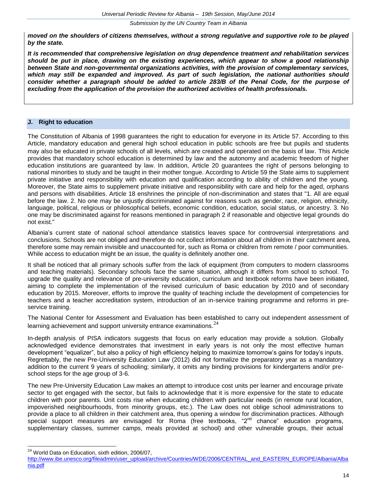*moved on the shoulders of citizens themselves, without a strong regulative and supportive role to be played by the state.*

*It is recommended that comprehensive legislation on drug dependence treatment and rehabilitation services should be put in place, drawing on the existing experiences, which appear to show a good relationship between State and non-governmental organizations activities, with the provision of complementary services, which may still be expanded and improved. As part of such legislation, the national authorities should consider whether a paragraph should be added to article 283/B of the Penal Code, for the purpose of excluding from the application of the provision the authorized activities of health professionals.*

# **J. Right to education**

The Constitution of Albania of 1998 guarantees the right to education for everyone in its Article 57. According to this Article, mandatory education and general high school education in public schools are free but pupils and students may also be educated in private schools of all levels, which are created and operated on the basis of law. This Article provides that mandatory school education is determined by law and the autonomy and academic freedom of higher education institutions are guaranteed by law. In addition, Article 20 guarantees the right of persons belonging to national minorities to study and be taught in their mother tongue. According to Article 59 the State aims to supplement private initiative and responsibility with education and qualification according to ability of children and the young. Moreover, the State aims to supplement private initiative and responsibility with care and help for the aged, orphans and persons with disabilities. Article 18 enshrines the principle of non-discrimination and states that "1. All are equal before the law. 2. No one may be unjustly discriminated against for reasons such as gender, race, religion, ethnicity, language, political, religious or philosophical beliefs, economic condition, education, social status, or ancestry. 3. No one may be discriminated against for reasons mentioned in paragraph 2 if reasonable and objective legal grounds do not exist."

Albania's current state of national school attendance statistics leaves space for controversial interpretations and conclusions. Schools are not obliged and therefore do not collect information about *all* children in their catchment area, therefore some may remain invisible and unaccounted for, such as Roma or children from remote / poor communities. While access to education might be an issue, the quality is definitely another one.

It shall be noticed that all primary schools suffer from the lack of equipment (from computers to modern classrooms and teaching materials). Secondary schools face the same situation, although it differs from school to school. To upgrade the quality and relevance of pre-university education, curriculum and textbook reforms have been initiated, aiming to complete the implementation of the revised curriculum of basic education by 2010 and of secondary education by 2015. Moreover, efforts to improve the quality of teaching include the development of competencies for teachers and a teacher accreditation system, introduction of an in-service training programme and reforms in preservice training.

The National Center for Assessment and Evaluation has been established to carry out independent assessment of learning achievement and support university entrance examinations. $^{24}$ 

In-depth analysis of PISA indicators suggests that focus on early education may provide a solution. Globally acknowledged evidence demonstrates that investment in early years is not only the most effective human development "equalizer", but also a policy of high efficiency helping to maximize tomorrow's gains for today's inputs. Regrettably, the new Pre-University Education Law (2012) did not formalize the preparatory year as a mandatory addition to the current 9 years of schooling; similarly, it omits any binding provisions for kindergartens and/or preschool steps for the age group of 3-6.

The new Pre-University Education Law makes an attempt to introduce cost units per learner and encourage private sector to get engaged with the sector, but fails to acknowledge that it is more expensive for the state to educate children with poor parents. Unit costs rise when educating children with particular needs (in remote rural location, impoverished neighbourhoods, from minority groups, etc.). The Law does not oblige school administrations to provide a place to all children in their catchment area, thus opening a window for discrimination practices. Although special support measures are envisaged for Roma (free textbooks, "2<sup>nd</sup> chance" education programs, supplementary classes, summer camps, meals provided at school) and other vulnerable groups, their actual

 $\overline{\phantom{a}}$ <sup>24</sup> World Data on Education, sixth edition, 2006/07,

[http://www.ibe.unesco.org/fileadmin/user\\_upload/archive/Countries/WDE/2006/CENTRAL\\_and\\_EASTERN\\_EUROPE/Albania/Alba](http://www.ibe.unesco.org/fileadmin/user_upload/archive/Countries/WDE/2006/CENTRAL_and_EASTERN_EUROPE/Albania/Albania.pdf) [nia.pdf](http://www.ibe.unesco.org/fileadmin/user_upload/archive/Countries/WDE/2006/CENTRAL_and_EASTERN_EUROPE/Albania/Albania.pdf)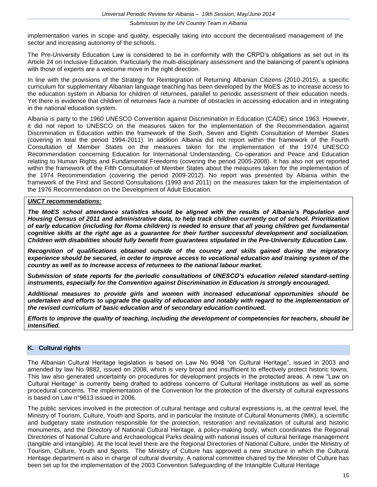implementation varies in scope and quality, especially taking into account the decentralised management of the sector and increasing autonomy of the schools.

The Pre-University Education Law is considered to be in conformity with the CRPD's obligations as set out in its Article 24 on Inclusive Education. Particularly the multi-disciplinary assessment and the balancing of parent's opinions with those of experts are a welcome move in the right direction.

In line with the provisions of the Strategy for Reintegration of Returning Albanian Citizens (2010-2015), a specific curriculum for supplementary Albanian language teaching has been developed by the MoES as to increase access to the education system in Albania for children of returnees, parallel to periodic assessment of their education needs. Yet there is evidence that children of returnees face a number of obstacles in accessing education and in integrating in the national education system.

Albania is party to the 1960 UNESCO Convention against Discrimination in Education (CADE) since 1963. However, it did not report to UNESCO on the measures taken for the implementation of the Recommendation against Discrimination in Education within the framework of the Sixth, Seven and Eighth Consultation of Member States (covering in total the period 1994-2011). In addition Albania did not report within the framework of the Fourth Consultation of Member States on the measures taken for the implementation of the 1974 UNESCO Recommendation concerning Education for International Understanding, Co-operation and Peace and Education relating to Human Rights and Fundamental Freedoms (covering the period 2005-2008). It has also not yet reported within the framework of the Fifth Consultation of Member States about the measures taken for the implementation of the 1974 Recommendation (covering the period 2009-2012). No report was presented by Albania within the framework of the First and Second Consultations (1993 and 2011) on the measures taken for the implementation of the 1976 Recommendation on the Development of Adult Education.

#### *UNCT recommendations:*

*The MoES school attendance statistics should be aligned with the results of Albania's Population and Housing Census of 2011 and administrative data, to help track children currently out of school. Prioritization of early education (including for Roma children) is needed to ensure that all young children get fundamental cognitive skills at the right age as a guarantee for their further successful development and socialization. Children with disabilities should fully benefit from guarantees stipulated in the Pre-University Education Law.*

*Recognition of qualifications obtained outside of the country and skills gained during the migratory experience should be secured, in order to improve access to vocational education and training system of the country as well as to increase access of returnees to the national labour market.*

*Submission of state reports for the periodic consultations of UNESCO's education related standard-setting instruments, especially for the Convention against Discrimination in Education is strongly encouraged.*

*Additional measures to provide girls and women with increased educational opportunities should be undertaken and efforts to upgrade the quality of education and notably with regard to the implementation of the revised curriculum of basic education and of secondary education continued.*

*Efforts to improve the quality of teaching, including the development of competencies for teachers, should be intensified.*

#### **K. Cultural rights**

The Albanian Cultural Heritage legislation is based on Law No 9048 "on Cultural Heritage", issued in 2003 and amended by law No 9882, issued on 2008, which is very broad and insufficient to effectively protect historic towns. This law also generated uncertainty on procedures for development projects in the protected areas. A new "Law on Cultural Heritage" is currently being drafted to address concerns of Cultural Heritage institutions as well as some procedural concerns. The implementation of the Convention for the protection of the diversity of cultural expressions is based on Law n°9613 issued in 2006.

The public services involved in the protection of cultural heritage and cultural expressions is, at the central level, the Ministry of Tourism, Culture, Youth and Sports, and in particular the Institute of Cultural Monuments (IMK), a scientific and budgetary state institution responsible for the protection, restoration and revitalization of cultural and historic monuments, and the Directory of National Cultural Heritage, a policy-making body, which coordinates the Regional Directories of National Culture and Archaeological Parks dealing with national issues of cultural heritage management (tangible and intangible). At the local level there are the Regional Directories of National Culture, under the Ministry of Tourism, Culture, Youth and Sports. The Ministry of Culture has approved a new structure in which the Cultural Heritage department is also in charge of cultural diversity. A national committee chaired by the Minister of Culture has been set up for the implementation of the 2003 Convention Safeguarding of the Intangible Cultural Heritage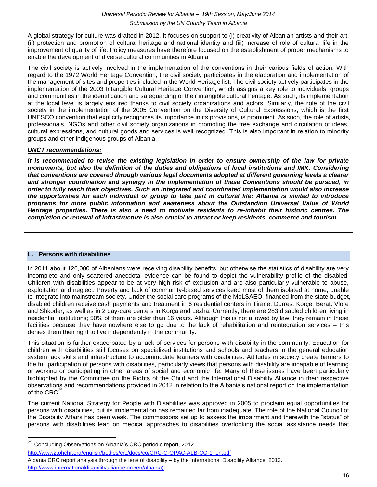A global strategy for culture was drafted in 2012. It focuses on support to (i) creativity of Albanian artists and their art, (ii) protection and promotion of cultural heritage and national identity and (iii) increase of role of cultural life in the improvement of quality of life. Policy measures have therefore focused on the establishment of proper mechanisms to enable the development of diverse cultural communities in Albania.

The civil society is actively involved in the implementation of the conventions in their various fields of action. With regard to the 1972 World Heritage Convention, the civil society participates in the elaboration and implementation of the management of sites and properties included in the World Heritage list. The civil society actively participates in the implementation of the 2003 Intangible Cultural Heritage Convention, which assigns a key role to individuals, groups and communities in the identification and safeguarding of their intangible cultural heritage. As such, its implementation at the local level is largely ensured thanks to civil society organizations and actors. Similarly, the role of the civil society in the implementation of the 2005 Convention on the Diversity of Cultural Expressions, which is the first UNESCO convention that explicitly recognizes its importance in its provisions, is prominent. As such, the role of artists, professionals, NGOs and other civil society organizations in promoting the free exchange and circulation of ideas, cultural expressions, and cultural goods and services is well recognized. This is also important in relation to minority groups and other indigenous groups of Albania.

## *UNCT recommendations:*

*It is recommended to revise the existing legislation in order to ensure ownership of the law for private monuments, but also the definition of the duties and obligations of local institutions and IMK. Considering that conventions are covered through various legal documents adopted at different governing levels a clearer and stronger coordination and synergy in the implementation of these Conventions should be pursued, in order to fully reach their objectives. Such an integrated and coordinated implementation would also increase the opportunities for each individual or group to take part in cultural life; Albania is invited to introduce programs for more public information and awareness about the Outstanding Universal Value of World Heritage properties. There is also a need to motivate residents to re-inhabit their historic centres. The completion or renewal of infrastructure is also crucial to attract or keep residents, commerce and tourism.*

## **L. Persons with disabilities**

In 2011 about 126,000 of Albanians were receiving disability benefits, but otherwise the statistics of disability are very incomplete and only scattered anecdotal evidence can be found to depict the vulnerability profile of the disabled. Children with disabilities appear to be at very high risk of exclusion and are also particularly vulnerable to abuse, exploitation and neglect. Poverty and lack of community-based services keep most of them isolated at home, unable to integrate into mainstream society. Under the social care programs of the MoLSAEO, financed from the state budget, disabled children receive cash payments and treatment in 6 residential centers in Tiranë, Durrës, Korçë, Berat, Vlorë and Shkodër, as well as in 2 day-care centers in Korça and Lezha. Currently, there are 283 disabled children living in residential institutions; 50% of them are older than 16 years. Although this is not allowed by law, they remain in these facilities because they have nowhere else to go due to the lack of rehabilitation and reintegration services – this denies them their right to live independently in the community.

This situation is further exacerbated by a lack of services for persons with disability in the community. Education for children with disabilities still focuses on specialized institutions and schools and teachers in the general education system lack skills and infrastructure to accommodate learners with disabilities. Attitudes in society create barriers to the full participation of persons with disabilities, particularly views that persons with disability are incapable of learning or working or participating in other areas of social and economic life. Many of these issues have been particularly highlighted by the Committee on the Rights of the Child and the International Disability Alliance in their respective observations and recommendations provided in 2012 in relation to the Albania's national report on the implementation of the CRC $^{25}$ .

The current National Strategy for People with Disabilities was approved in 2005 to proclaim equal opportunities for persons with disabilities, but its implementation has remained far from inadequate. The role of the National Council of the Disability Affairs has been weak. The commissions set up to assess the impairment and therewith the "status" of persons with disabilities lean on medical approaches to disabilities overlooking the social assistance needs that

<sup>25</sup> <sup>25</sup> Concluding Observations on Albania's CRC periodic report, 2012 [http://www2.ohchr.org/english/bodies/crc/docs/co/CRC-C-OPAC-ALB-CO-1\\_en.pdf](http://www2.ohchr.org/english/bodies/crc/docs/co/CRC-C-OPAC-ALB-CO-1_en.pdf) Albania CRC report analysis through the lens of disability – by the International Disability Alliance, 2012. [http://www.internationaldisabilityalliance.org/en/albania\)](http://www.internationaldisabilityalliance.org/en/albania)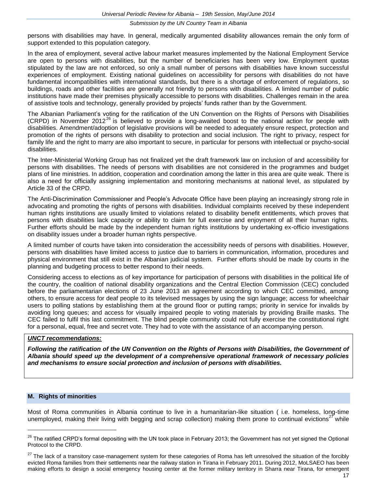persons with disabilities may have. In general, medically argumented disability allowances remain the only form of support extended to this population category.

In the area of employment, several active labour market measures implemented by the National Employment Service are open to persons with disabilities, but the number of beneficiaries has been very low. Employment quotas stipulated by the law are not enforced, so only a small number of persons with disabilities have known successful experiences of employment. Existing national guidelines on accessibility for persons with disabilities do not have fundamental incompatibilities with international standards, but there is a shortage of enforcement of regulations, so buildings, roads and other facilities are generally not friendly to persons with disabilities. A limited number of public institutions have made their premises physically accessible to persons with disabilities. Challenges remain in the area of assistive tools and technology, generally provided by projects' funds rather than by the Government.

The Albanian Parliament's voting for the ratification of the UN Convention on the Rights of Persons with Disabilities (CRPD) in November 2012<sup>26</sup> is believed to provide a long-awaited boost to the national action for people with disabilities. Amendment/adoption of legislative provisions will be needed to adequately ensure respect, protection and promotion of the rights of persons with disability to protection and social inclusion. The right to privacy, respect for family life and the right to marry are also important to secure, in particular for persons with intellectual or psycho-social disabilities.

The Inter-Ministerial Working Group has not finalized yet the draft framework law on inclusion of and accessibility for persons with disabilities. The needs of persons with disabilities are not considered in the programmes and budget plans of line ministries. In addition, cooperation and coordination among the latter in this area are quite weak. There is also a need for officially assigning implementation and monitoring mechanisms at national level, as stipulated by Article 33 of the CRPD.

The Anti-Discrimination Commissioner and People's Advocate Office have been playing an increasingly strong role in advocating and promoting the rights of persons with disabilities. Individual complaints received by these independent human rights institutions are usually limited to violations related to disability benefit entitlements, which proves that persons with disabilities lack capacity or ability to claim for full exercise and enjoyment of all their human rights. Further efforts should be made by the independent human rights institutions by undertaking ex-officio investigations on disability issues under a broader human rights perspective.

A limited number of courts have taken into consideration the accessibility needs of persons with disabilities. However, persons with disabilities have limited access to justice due to barriers in communication, information, procedures and physical environment that still exist in the Albanian judicial system. Further efforts should be made by courts in the planning and budgeting process to better respond to their needs.

Considering access to elections as of key importance for participation of persons with disabilities in the political life of the country, the coalition of national disability organizations and the Central Election Commission (CEC) concluded before the parliamentarian elections of 23 June 2013 an agreement according to which CEC committed, among others, to ensure access for deaf people to its televised messages by using the sign language; access for wheelchair users to polling stations by establishing them at the ground floor or putting ramps; priority in service for invalids by avoiding long queues; and access for visually impaired people to voting materials by providing Braille masks. The CEC failed to fulfil this last commitment. The blind people community could not fully exercise the constitutional right for a personal, equal, free and secret vote. They had to vote with the assistance of an accompanying person.

#### *UNCT recommendations:*

*Following the ratification of the UN Convention on the Rights of Persons with Disabilities, the Government of Albania should speed up the development of a comprehensive operational framework of necessary policies and mechanisms to ensure social protection and inclusion of persons with disabilities.*

#### **M. Rights of minorities**

Most of Roma communities in Albania continue to live in a humanitarian-like situation ( i.e. homeless, long-time unemployed, making their living with begging and scrap collection) making them prone to continual evictions<sup>27</sup> while

<sup>&</sup>lt;sup>26</sup> The ratified CRPD's formal depositing with the UN took place in February 2013; the Government has not yet signed the Optional Protocol to the CRPD.

<sup>&</sup>lt;sup>27</sup> The lack of a transitory case-management system for these categories of Roma has left unresolved the situation of the forcibly evicted Roma families from their settlements near the railway station in Tirana in February 2011. During 2012, MoLSAEO has been making efforts to design a social emergency housing center at the former military territory in Sharra near Tirana, for emergent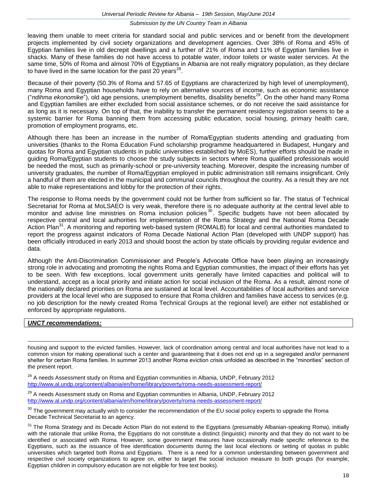leaving them unable to meet criteria for standard social and public services and or benefit from the development projects implemented by civil society organizations and development agencies. Over 38% of Roma and 45% of Egyptian families live in old decrepit dwellings and a further of 21% of Roma and 11% of Egyptian families live in shacks. Many of these families do not have access to potable water, indoor toilets or waste water services. At the same time, 50% of Roma and almost 70% of Egyptians in Albania are not really migratory population, as they declare to have lived in the same location for the past 20 years<sup>28</sup>.

Because of their poverty (50.3% of Roma and 57.65 of Egyptians are characterized by high level of unemployment), many Roma and Egyptian households have to rely on alternative sources of income, such as economic assistance ("*ndihma ekonomike*"), old age pensions, unemployment benefits, disability benefits<sup>29</sup>. On the other hand many Roma and Egyptian families are either excluded from social assistance schemes, or do not receive the said assistance for as long as it is necessary. On top of that, the inability to transfer the permanent residency registration seems to be a systemic barrier for Roma banning them from accessing public education, social housing, primary health care, promotion of employment programs, etc.

Although there has been an increase in the number of Roma/Egyptian students attending and graduating from universities (thanks to the Roma Education Fund scholarship programme headquartered in Budapest, Hungary and quotas for Roma and Egyptian students in public universities established by MoES), further efforts should be made in guiding Roma/Egyptian students to choose the study subjects in sectors where Roma qualified professionals would be needed the most, such as primarily-school or pre-university teaching. Moreover, despite the increasing number of university graduates, the number of Roma/Egyptian employed in public administration still remains insignificant. Only a handful of them are elected in the municipal and communal councils throughout the country. As a result they are not able to make representations and lobby for the protection of their rights.

The response to Roma needs by the government could not be further from sufficient so far. The status of Technical Secretariat for Roma at MoLSAEO is very weak, therefore there is no adequate authority at the central level able to monitor and advise line ministries on Roma inclusion policies<sup>30</sup>. Specific budgets have not been allocated by respective central and local authorities for implementation of the Roma Strategy and the National Roma Decade Action Plan<sup>31</sup>. A monitoring and reporting web-based system (ROMALB) for local and central authorities mandated to report the progress against indicators of Roma Decade National Action Plan (developed with UNDP support) has been officially introduced in early 2013 and should boost the action by state officials by providing regular evidence and data.

Although the Anti-Discrimination Commissioner and People's Advocate Office have been playing an increasingly strong role in advocating and promoting the rights Roma and Egyptian communities, the impact of their efforts has yet to be seen. With few exceptions, local government units generally have limited capacities and political will to understand, accept as a local priority and initiate action for social inclusion of the Roma. As a result, almost none of the nationally declared priorities on Roma are sustained at local level. Accountabilities of local authorities and service providers at the local level who are supposed to ensure that Roma children and families have access to services (e.g. no job description for the newly created Roma Technical Groups at the regional level) are either not established or enforced by appropriate regulations.

#### *UNCT recommendations:*

housing and support to the evicted families. However, lack of coordination among central and local authorities have not lead to a common vision for making operational such a center and guaranteeing that it does not end up in a segregated and/or permanent shelter for certain Roma families. In summer 2013 another Roma eviction crisis unfolded as described in the "minorities" section of the present report.

<sup>28</sup> A needs Assessment study on Roma and Egyptian communities in Albania, UNDP, February 2012 <http://www.al.undp.org/content/albania/en/home/library/poverty/roma-needs-assessment-report/>

 $^{29}$  A needs Assessment study on Roma and Egyptian communities in Albania, UNDP, February 2012 <http://www.al.undp.org/content/albania/en/home/library/poverty/roma-needs-assessment-report/>

 $30$  The government may actually wish to consider the recommendation of the EU social policy experts to upgrade the Roma Decade Technical Secretariat to an agency.

 $31$  The Roma Strategy and its Decade Action Plan do not extend to the Egyptians (presumably Albanian-speaking Roma), initially with the rationale that unlike Roma, the Egyptians do not constitute a distinct (linguistic) minority and that they do not want to be identified or associated with Roma. However, some government measures have occasionally made specific reference to the Egyptians, such as the issuance of free identification documents during the last local elections or setting of quotas in public universities which targeted both Roma and Egyptians. There is a need for a common understanding between government and respective civil society organizations to agree on, either to target the social inclusion measure to both groups (for example, Egyptian children in compulsory education are not eligible for free text books).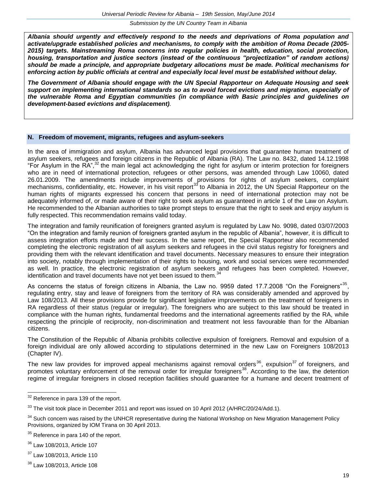*Albania should urgently and effectively respond to the needs and deprivations of Roma population and activate/upgrade established policies and mechanisms, to comply with the ambition of Roma Decade (2005- 2015) targets. Mainstreaming Roma concerns into regular policies in health, education, social protection, housing, transportation and justice sectors (instead of the continuous "projectization" of random actions) should be made a principle, and appropriate budgetary allocations must be made. Political mechanisms for enforcing action by public officials at central and especially local level must be established without delay.*

*The Government of Albania should engage with the UN Special Rapporteur on Adequate Housing and seek support on implementing international standards so as to avoid forced evictions and migration, especially of the vulnerable Roma and Egyptian communities (in compliance with Basic principles and guidelines on development-based evictions and displacement).*

#### **N. Freedom of movement, migrants, refugees and asylum-seekers**

In the area of immigration and asylum, Albania has advanced legal provisions that guarantee human treatment of asylum seekers, refugees and foreign citizens in the Republic of Albania (RA). The Law no. 8432, dated 14.12.1998 "For Asylum in the RA",<sup>32</sup> the main legal act acknowledging the right for asylum or interim protection for foreigners who are in need of international protection, refugees or other persons, was amended through Law 10060, dated 26.01.2009. The amendments include improvements of provisions for rights of asylum seekers, complaint mechanisms, confidentiality, etc. However, in his visit report<sup>33</sup> to Albania in 2012, the UN Special Rapporteur on the human rights of migrants expressed his concern that persons in need of international protection may not be adequately informed of, or made aware of their right to seek asylum as guaranteed in article 1 of the Law on Asylum. He recommended to the Albanian authorities to take prompt steps to ensure that the right to seek and enjoy asylum is fully respected. This recommendation remains valid today.

The integration and family reunification of foreigners granted asylum is regulated by Law No. 9098, dated 03/07/2003 "On the integration and family reunion of foreigners granted asylum in the republic of Albania", however, it is difficult to assess integration efforts made and their success. In the same report, the Special Rapporteur also recommended completing the electronic registration of all asylum seekers and refugees in the civil status registry for foreigners and providing them with the relevant identification and travel documents. Necessary measures to ensure their integration into society, notably through implementation of their rights to housing, work and social services were recommended as well. In practice, the electronic registration of asylum seekers and refugees has been completed. However, identification and travel documents have not yet been issued to them.<sup>34</sup>

As concerns the status of foreign citizens in Albania, the Law no. 9959 dated 17.7.2008 "On the Foreigners"<sup>35</sup>, regulating entry, stay and leave of foreigners from the territory of RA was considerably amended and approved by Law 108/2013. All these provisions provide for significant legislative improvements on the treatment of foreigners in RA regardless of their status (regular or irregular). The foreigners who are subject to this law should be treated in compliance with the human rights, fundamental freedoms and the international agreements ratified by the RA, while respecting the principle of reciprocity, non-discrimination and treatment not less favourable than for the Albanian citizens.

The Constitution of the Republic of Albania prohibits collective expulsion of foreigners. Removal and expulsion of a foreign individual are only allowed according to stipulations determined in the new Law on Foreigners 108/2013 (Chapter IV).

The new law provides for improved appeal mechanisms against removal orders<sup>36</sup>, expulsion<sup>37</sup> of foreigners, and promotes voluntary enforcement of the removal order for irregular foreigners<sup>38</sup>. According to the law, the detention regime of irregular foreigners in closed reception facilities should guarantee for a humane and decent treatment of

 $\overline{\phantom{a}}$ 

 $32$  Reference in para 139 of the report.

 $33$  The visit took place in December 2011 and report was issued on 10 April 2012 (A/HRC/20/24/Add.1).

 $34$  Such concern was raised by the UNHCR representative during the National Workshop on New Migration Management Policy Provisions, organized by IOM Tirana on 30 April 2013.

<sup>&</sup>lt;sup>35</sup> Reference in para 140 of the report.

<sup>36</sup> Law 108/2013, Article 107

<sup>&</sup>lt;sup>37</sup> Law 108/2013, Article 110

<sup>38</sup> Law 108/2013, Article 108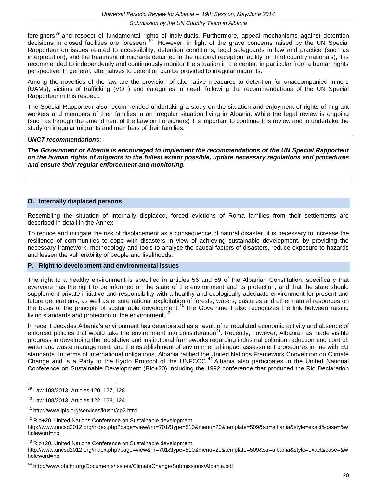foreigners<sup>39</sup> and respect of fundamental rights of individuals. Furthermore, appeal mechanisms against detention decisions in closed facilities are foreseen.<sup>40</sup> However, in light of the grave concerns raised by the UN Special Rapporteur on issues related to accessibility, detention conditions, legal safeguards in law and practice (such as interpretation), and the treatment of migrants detained in the national reception facility for third country nationals), it is recommended to independently and continuously monitor the situation in the center, in particular from a human rights perspective. In general, alternatives to detention can be provided to irregular migrants.

Among the novelties of the law are the provision of alternative measures to detention for unaccompanied minors (UAMs), victims of trafficking (VOT) and categories in need, following the recommendations of the UN Special Rapporteur in this respect.

The Special Rapporteur also recommended undertaking a study on the situation and enjoyment of rights of migrant workers and members of their families in an irregular situation living in Albania. While the legal review is ongoing (such as through the amendment of the Law on Foreigners) it is important to continue this review and to undertake the study on irregular migrants and members of their families.

#### *UNCT recommendations:*

*The Government of Albania is encouraged to implement the recommendations of the UN Special Rapporteur on the human rights of migrants to the fullest extent possible, update necessary regulations and procedures and ensure their regular enforcement and monitoring.*

#### **O. Internally displaced persons**

Resembling the situation of internally displaced, forced evictions of Roma families from their settlements are described in detail in the Annex.

To reduce and mitigate the risk of displacement as a consequence of natural disaster, it is necessary to increase the resilience of communities to cope with disasters in view of achieving sustainable development, by providing the necessary framework, methodology and tools to analyse the causal factors of disasters, reduce exposure to hazards and lessen the vulnerability of people and livelihoods.

#### **P. Right to development and environmental issues**

The right to a healthy environment is specified in articles 56 and 59 of the Albanian Constitution, specifically that everyone has the right to be informed on the state of the environment and its protection, and that the state should supplement private initiative and responsibility with a healthy and ecologically adequate environment for present and future generations, as well as ensure rational exploitation of forests, waters, pastures and other natural resources on the basis of the principle of sustainable development.<sup>41</sup> The Government also recognizes the link between raising living standards and protection of the environment.<sup>42</sup>

In recent decades Albania's environment has deteriorated as a result of unregulated economic activity and absence of enforced policies that would take the environment into consideration<sup>43</sup>. Recently, however, Albania has made visible progress in developing the legislative and institutional frameworks regarding industrial pollution reduction and control, water and waste management, and the establishment of environmental impact assessment procedures in line with EU standards. In terms of international obligations, Albania ratified the United Nations Framework Convention on Climate Change and is a Party to the Kyoto Protocol of the UNFCCC.<sup>44</sup> Albania also participates in the United National Conference on Sustainable Development (Rio+20) including the 1992 conference that produced the Rio Declaration

<sup>39</sup> Law 108/2013, Articles 120, 127, 128

<sup>40</sup> Law 108/2013, Articles 122, 123, 124

<sup>41</sup> http://www.ipls.org/services/kusht/cp2.html

<sup>&</sup>lt;sup>42</sup> Rio+20, United Nations Conference on Sustainable development,

http://www.uncsd2012.org/index.php?page=view&nr=701&type=510&menu=20&template=509&str=albania&style=exact&case=&w holeword=no

<sup>43</sup> Rio+20, United Nations Conference on Sustainable development,

http://www.uncsd2012.org/index.php?page=view&nr=701&type=510&menu=20&template=509&str=albania&style=exact&case=&w holeword=no

<sup>44</sup> http://www.ohchr.org/Documents/Issues/ClimateChange/Submissions/Albania.pdf